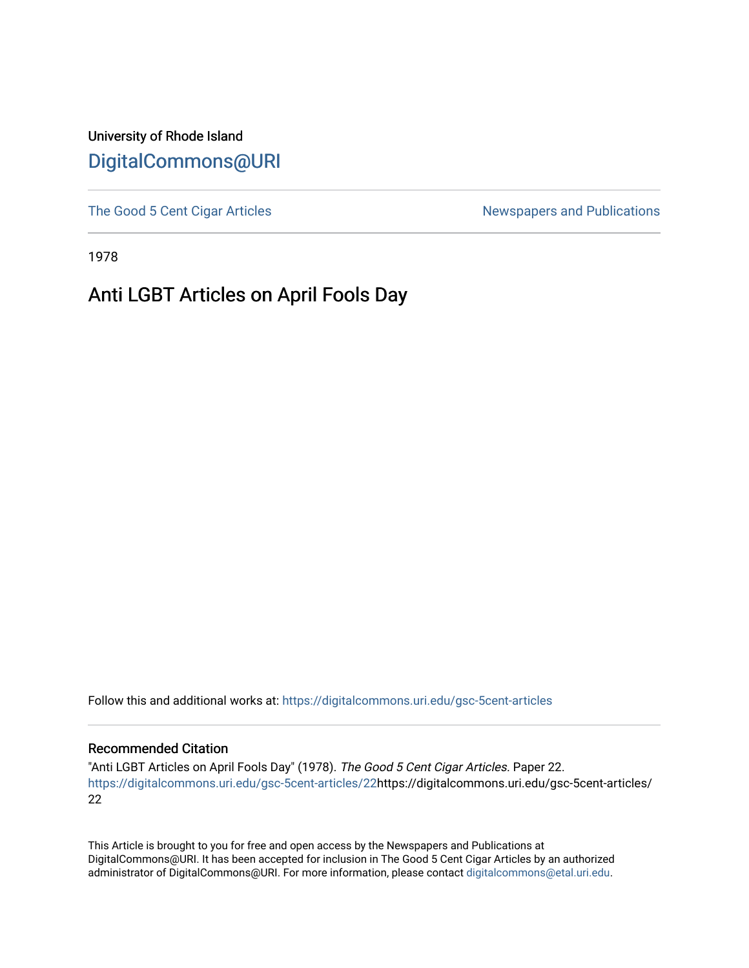University of Rhode Island [DigitalCommons@URI](https://digitalcommons.uri.edu/) 

[The Good 5 Cent Cigar Articles](https://digitalcommons.uri.edu/gsc-5cent-articles) Newspapers and Publications

1978

## Anti LGBT Articles on April Fools Day

Follow this and additional works at: [https://digitalcommons.uri.edu/gsc-5cent-articles](https://digitalcommons.uri.edu/gsc-5cent-articles?utm_source=digitalcommons.uri.edu%2Fgsc-5cent-articles%2F22&utm_medium=PDF&utm_campaign=PDFCoverPages) 

## Recommended Citation

"Anti LGBT Articles on April Fools Day" (1978). The Good 5 Cent Cigar Articles. Paper 22. [https://digitalcommons.uri.edu/gsc-5cent-articles/22](https://digitalcommons.uri.edu/gsc-5cent-articles/22?utm_source=digitalcommons.uri.edu%2Fgsc-5cent-articles%2F22&utm_medium=PDF&utm_campaign=PDFCoverPages)https://digitalcommons.uri.edu/gsc-5cent-articles/ 22

This Article is brought to you for free and open access by the Newspapers and Publications at DigitalCommons@URI. It has been accepted for inclusion in The Good 5 Cent Cigar Articles by an authorized administrator of DigitalCommons@URI. For more information, please contact [digitalcommons@etal.uri.edu.](mailto:digitalcommons@etal.uri.edu)